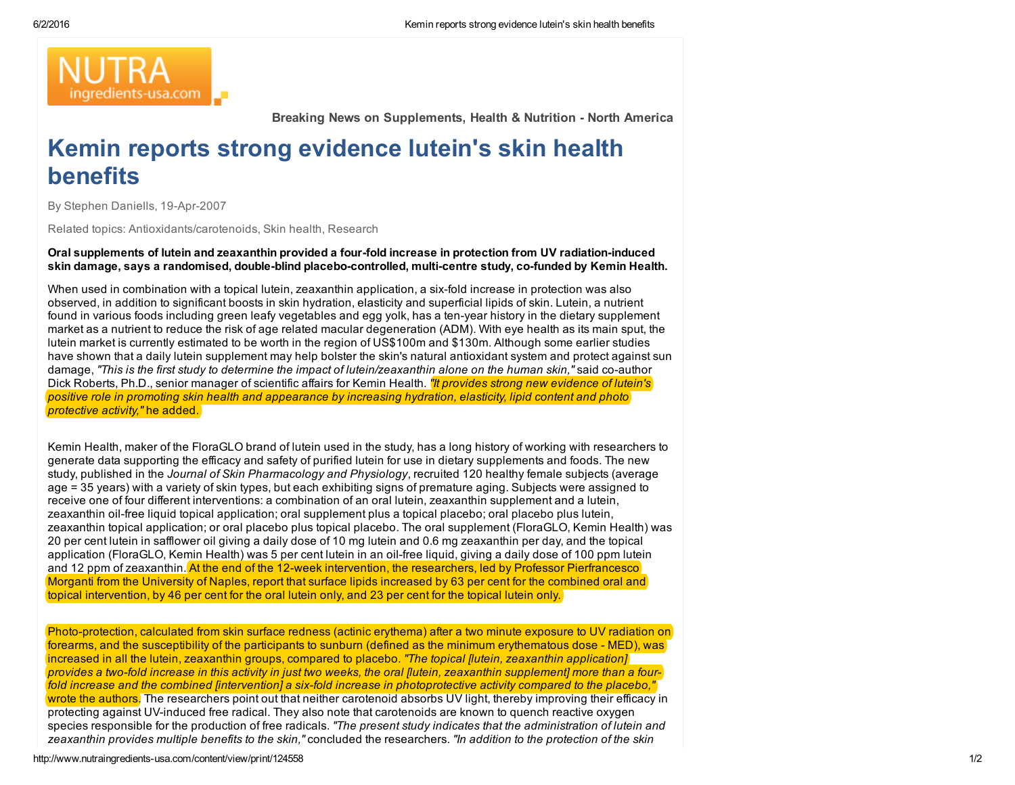

Breaking News on Supplements, Health & Nutrition - North America

## Kemin reports strong evidence lutein's skin health benefits

By Stephen Daniells, 19-Apr-2007

Related topics: Antioxidants/carotenoids, Skin health, Research

Oral supplements of lutein and zeaxanthin provided a four-fold increase in protection from UV radiation-induced skin damage, says a randomised, double-blind placebo-controlled, multi-centre study, co-funded by Kemin Health.

When used in combination with a topical lutein, zeaxanthin application, a six-fold increase in protection was also observed, in addition to significant boosts in skin hydration, elasticity and superficial lipids of skin. Lutein, a nutrient found in various foods including green leafy vegetables and egg yolk, has a ten-year history in the dietary supplement market as a nutrient to reduce the risk of age related macular degeneration (ADM). With eye health as its main sput, the lutein market is currently estimated to be worth in the region of US\$100m and \$130m. Although some earlier studies have shown that a daily lutein supplement may help bolster the skin's natural antioxidant system and protect against sun damage, "This is the first study to determine the impact of lutein/zeaxanthin alone on the human skin," said co-author Dick Roberts, Ph.D., senior manager of scientific affairs for Kemin Health. *"It provides strong new evidence of lutein's* positive role in promoting skin health and appearance by increasing hydration, elasticity, lipid content and photo *protective activity,"* he added.

Kemin Health, maker of the FloraGLO brand of lutein used in the study, has a long history of working with researchers to generate data supporting the efficacy and safety of purified lutein for use in dietary supplements and foods. The new study, published in the *Journal of Skin Pharmacology and Physiology*, recruited 120 healthy female subjects (average age = 35 years) with a variety of skin types, but each exhibiting signs of premature aging. Subjects were assigned to receive one of four different interventions: a combination of an oral lutein, zeaxanthin supplement and a lutein, zeaxanthin oil-free liquid topical application; oral supplement plus a topical placebo; oral placebo plus lutein, zeaxanthin topical application; or oral placebo plus topical placebo. The oral supplement (FloraGLO, Kemin Health) was 20 per cent lutein in safflower oil giving a daily dose of 10 mg lutein and 0.6 mg zeaxanthin per day, and the topical application (FloraGLO, Kemin Health) was 5 per cent lutein in an oil-free liquid, giving a daily dose of 100 ppm lutein and 12 ppm of zeaxanthin. At the end of the 12-week intervention, the researchers, led by Professor Pierfrancesco Morganti from the University of Naples, report that surface lipids increased by 63 per cent for the combined oral and topical intervention, by 46 per cent for the oral lutein only, and 23 per cent for the topical lutein only.

Photo-protection, calculated from skin surface redness (actinic erythema) after a two minute exposure to UV radiation on forearms, and the susceptibility of the participants to sunburn (defined as the minimum erythematous dose - MED), was increased in all the lutein, zeaxanthin groups, compared to placebo. *"The topical [lutein, zeaxanthin application]* provides a two-fold increase in this activity in just two weeks, the oral flutein, zeaxanthin supplement] more than a fourfold increase and the combined lintervention] a six-fold increase in photoprotective activity compared to the placebo." wrote the authors. The researchers point out that neither carotenoid absorbs UV light, thereby improving their efficacy in protecting against UV-induced free radical. They also note that carotenoids are known to quench reactive oxygen species responsible for the production of free radicals. *"The present study indicates that the administration of lutein and* zeaxanthin provides multiple benefits to the skin," concluded the researchers. "In addition to the protection of the skin